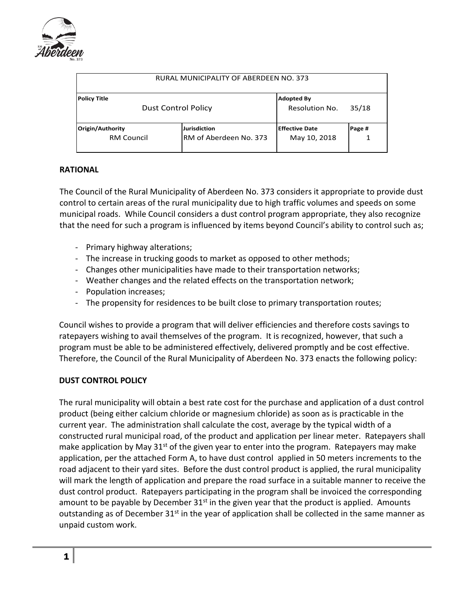

| RURAL MUNICIPALITY OF ABERDEEN NO. 373     |                                               |                                            |        |  |
|--------------------------------------------|-----------------------------------------------|--------------------------------------------|--------|--|
| Policy Title<br><b>Dust Control Policy</b> |                                               | <b>Adopted By</b><br><b>Resolution No.</b> | 35/18  |  |
| Origin/Authority<br><b>RM Council</b>      | <b>Jurisdiction</b><br>RM of Aberdeen No. 373 | <b>Effective Date</b><br>May 10, 2018      | Page # |  |

#### **RATIONAL**

The Council of the Rural Municipality of Aberdeen No. 373 considers it appropriate to provide dust control to certain areas of the rural municipality due to high traffic volumes and speeds on some municipal roads. While Council considers a dust control program appropriate, they also recognize that the need for such a program is influenced by items beyond Council's ability to control such as;

- Primary highway alterations;
- The increase in trucking goods to market as opposed to other methods;
- Changes other municipalities have made to their transportation networks;
- Weather changes and the related effects on the transportation network;
- Population increases;
- The propensity for residences to be built close to primary transportation routes;

Council wishes to provide a program that will deliver efficiencies and therefore costs savings to ratepayers wishing to avail themselves of the program. It is recognized, however, that such a program must be able to be administered effectively, delivered promptly and be cost effective. Therefore, the Council of the Rural Municipality of Aberdeen No. 373 enacts the following policy:

#### **DUST CONTROL POLICY**

The rural municipality will obtain a best rate cost for the purchase and application of a dust control product (being either calcium chloride or magnesium chloride) as soon as is practicable in the current year. The administration shall calculate the cost, average by the typical width of a constructed rural municipal road, of the product and application per linear meter. Ratepayers shall make application by May 31<sup>st</sup> of the given year to enter into the program. Ratepayers may make application, per the attached Form A, to have dust control applied in 50 meters increments to the road adjacent to their yard sites. Before the dust control product is applied, the rural municipality will mark the length of application and prepare the road surface in a suitable manner to receive the dust control product. Ratepayers participating in the program shall be invoiced the corresponding amount to be payable by December  $31<sup>st</sup>$  in the given year that the product is applied. Amounts outstanding as of December  $31^{st}$  in the year of application shall be collected in the same manner as unpaid custom work.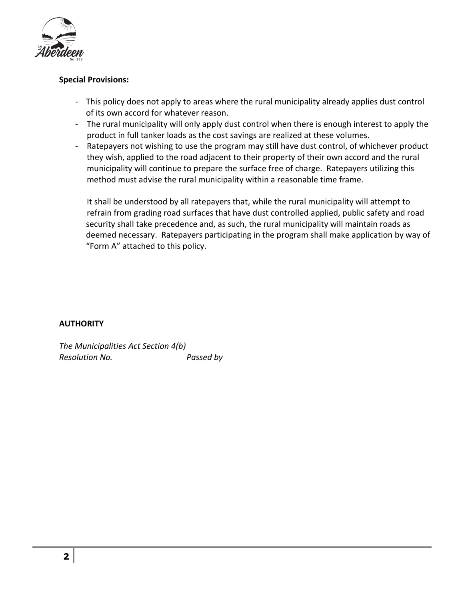

### **Special Provisions:**

- This policy does not apply to areas where the rural municipality already applies dust control of its own accord for whatever reason.
- The rural municipality will only apply dust control when there is enough interest to apply the product in full tanker loads as the cost savings are realized at these volumes.
- Ratepayers not wishing to use the program may still have dust control, of whichever product they wish, applied to the road adjacent to their property of their own accord and the rural municipality will continue to prepare the surface free of charge. Ratepayers utilizing this method must advise the rural municipality within a reasonable time frame.

 It shall be understood by all ratepayers that, while the rural municipality will attempt to refrain from grading road surfaces that have dust controlled applied, public safety and road security shall take precedence and, as such, the rural municipality will maintain roads as deemed necessary. Ratepayers participating in the program shall make application by way of "Form A" attached to this policy.

## **AUTHORITY**

*The Municipalities Act Section 4(b) Resolution No. Passed by*